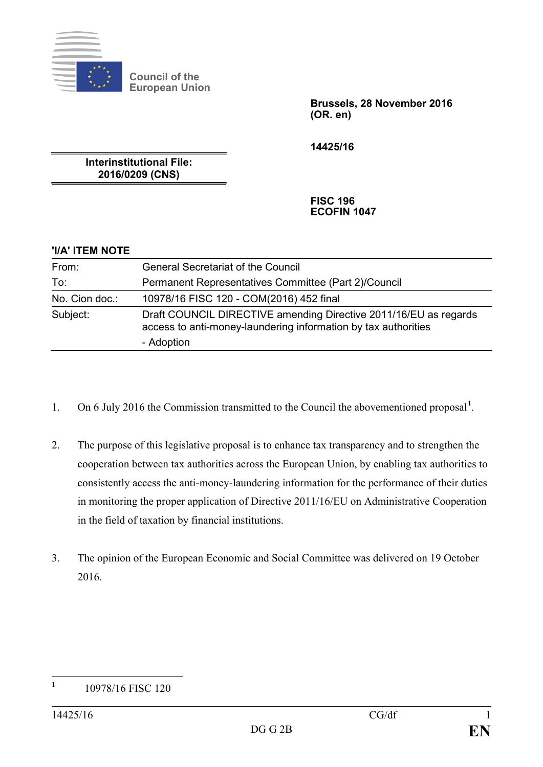

**Council of the European Union**

> **Brussels, 28 November 2016 (OR. en)**

**14425/16**

**Interinstitutional File: 2016/0209 (CNS)**

> **FISC 196 ECOFIN 1047**

## **'I/A' ITEM NOTE**

| From:          | <b>General Secretariat of the Council</b>                                                                                                        |
|----------------|--------------------------------------------------------------------------------------------------------------------------------------------------|
| To:            | Permanent Representatives Committee (Part 2)/Council                                                                                             |
| No. Cion doc.: | 10978/16 FISC 120 - COM(2016) 452 final                                                                                                          |
| Subject:       | Draft COUNCIL DIRECTIVE amending Directive 2011/16/EU as regards<br>access to anti-money-laundering information by tax authorities<br>- Adoption |

- 1. On 6 July 2016 the Commission transmitted to the Council the abovementioned proposal**[1](#page-0-0)** .
- 2. The purpose of this legislative proposal is to enhance tax transparency and to strengthen the cooperation between tax authorities across the European Union, by enabling tax authorities to consistently access the anti-money-laundering information for the performance of their duties in monitoring the proper application of Directive 2011/16/EU on Administrative Cooperation in the field of taxation by financial institutions.
- 3. The opinion of the European Economic and Social Committee was delivered on 19 October 2016.

<span id="page-0-0"></span>**<sup>1</sup>** 10978/16 FISC 120